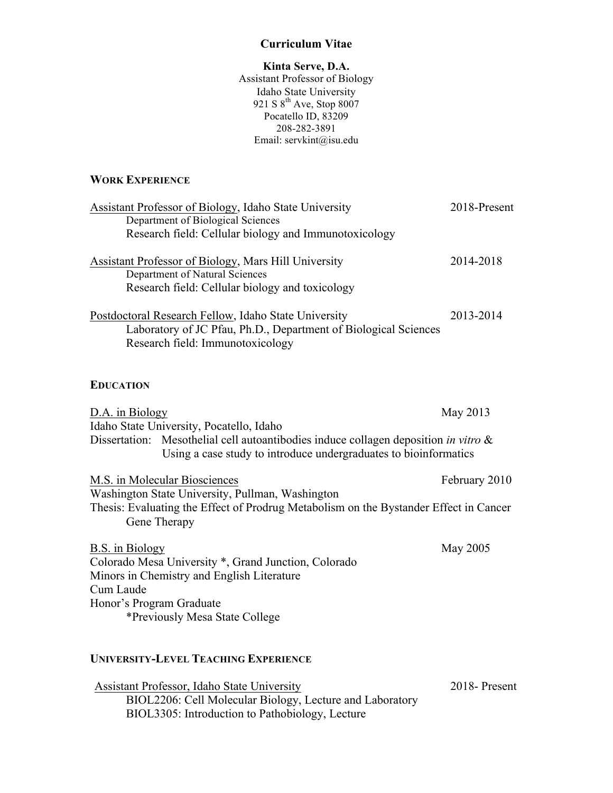#### **Curriculum Vitae**

#### **Kinta Serve, D.A.**

Assistant Professor of Biology Idaho State University 921 S  $8^{th}$  Ave, Stop 8007 Pocatello ID, 83209 208-282-3891 Email: servkint@isu.edu

## **WORK EXPERIENCE**

| <b>Assistant Professor of Biology, Idaho State University</b>                                         | 2018-Present  |
|-------------------------------------------------------------------------------------------------------|---------------|
| Department of Biological Sciences                                                                     |               |
| Research field: Cellular biology and Immunotoxicology                                                 |               |
| <b>Assistant Professor of Biology, Mars Hill University</b>                                           | 2014-2018     |
| Department of Natural Sciences                                                                        |               |
| Research field: Cellular biology and toxicology                                                       |               |
| Postdoctoral Research Fellow, Idaho State University                                                  | 2013-2014     |
| Laboratory of JC Pfau, Ph.D., Department of Biological Sciences                                       |               |
| Research field: Immunotoxicology                                                                      |               |
|                                                                                                       |               |
| <b>EDUCATION</b>                                                                                      |               |
| D.A. in Biology                                                                                       | May 2013      |
| Idaho State University, Pocatello, Idaho                                                              |               |
| Dissertation: Mesothelial cell autoantibodies induce collagen deposition in vitro &                   |               |
| Using a case study to introduce undergraduates to bioinformatics                                      |               |
| M.S. in Molecular Biosciences                                                                         | February 2010 |
| Washington State University, Pullman, Washington                                                      |               |
| Thesis: Evaluating the Effect of Prodrug Metabolism on the Bystander Effect in Cancer<br>Gene Therapy |               |
| <b>B.S.</b> in Biology                                                                                | May 2005      |
| Colorado Mesa University *, Grand Junction, Colorado                                                  |               |
| Minors in Chemistry and English Literature                                                            |               |
| Cum Laude                                                                                             |               |
| Honor's Program Graduate                                                                              |               |
| *Previously Mesa State College                                                                        |               |
|                                                                                                       |               |
|                                                                                                       |               |

## **UNIVERSITY-LEVEL TEACHING EXPERIENCE**

Assistant Professor, Idaho State University 2018- Present BIOL2206: Cell Molecular Biology, Lecture and Laboratory BIOL3305: Introduction to Pathobiology, Lecture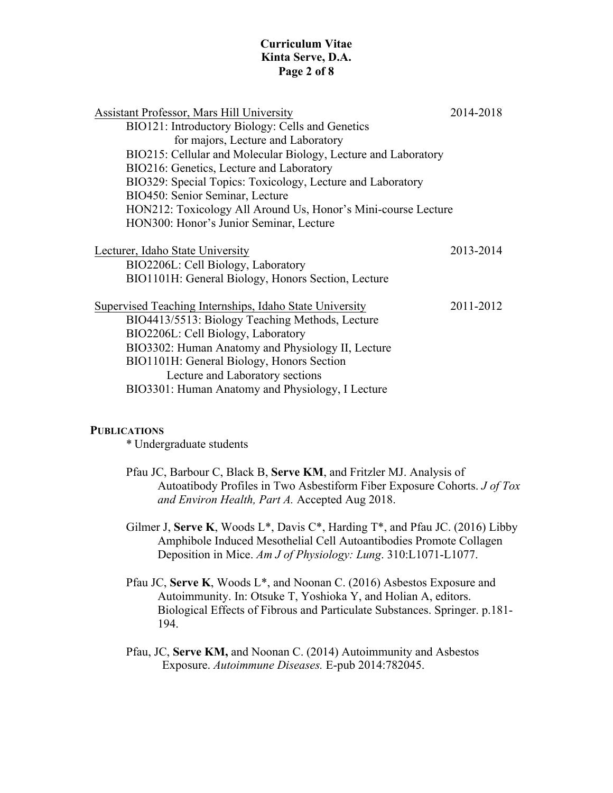## **Curriculum Vitae Kinta Serve, D.A. Page 2 of 8**

| Assistant Professor, Mars Hill University                      | 2014-2018 |
|----------------------------------------------------------------|-----------|
| BIO121: Introductory Biology: Cells and Genetics               |           |
| for majors, Lecture and Laboratory                             |           |
| BIO215: Cellular and Molecular Biology, Lecture and Laboratory |           |
| BIO216: Genetics, Lecture and Laboratory                       |           |
| BIO329: Special Topics: Toxicology, Lecture and Laboratory     |           |
| BIO450: Senior Seminar, Lecture                                |           |
| HON212: Toxicology All Around Us, Honor's Mini-course Lecture  |           |
| HON300: Honor's Junior Seminar, Lecture                        |           |
|                                                                |           |
| Lecturer, Idaho State University                               | 2013-2014 |
| BIO2206L: Cell Biology, Laboratory                             |           |
| BIO1101H: General Biology, Honors Section, Lecture             |           |
| Supervised Teaching Internships, Idaho State University        | 2011-2012 |
| BIO4413/5513: Biology Teaching Methods, Lecture                |           |
| BIO2206L: Cell Biology, Laboratory                             |           |
| BIO3302: Human Anatomy and Physiology II, Lecture              |           |
| BIO1101H: General Biology, Honors Section                      |           |
| Lecture and Laboratory sections                                |           |
| BIO3301: Human Anatomy and Physiology, I Lecture               |           |

#### **PUBLICATIONS**

\* Undergraduate students

Pfau JC, Barbour C, Black B, **Serve KM**, and Fritzler MJ. Analysis of Autoatibody Profiles in Two Asbestiform Fiber Exposure Cohorts. *J of Tox and Environ Health, Part A.* Accepted Aug 2018.

Gilmer J, **Serve K**, Woods L\*, Davis C\*, Harding T\*, and Pfau JC. (2016) Libby Amphibole Induced Mesothelial Cell Autoantibodies Promote Collagen Deposition in Mice. *Am J of Physiology: Lung*. 310:L1071-L1077.

- Pfau JC, **Serve K**, Woods L\*, and Noonan C. (2016) Asbestos Exposure and Autoimmunity. In: Otsuke T, Yoshioka Y, and Holian A, editors. Biological Effects of Fibrous and Particulate Substances. Springer. p.181- 194.
- Pfau, JC, **Serve KM,** and Noonan C. (2014) Autoimmunity and Asbestos Exposure. *Autoimmune Diseases.* E-pub 2014:782045.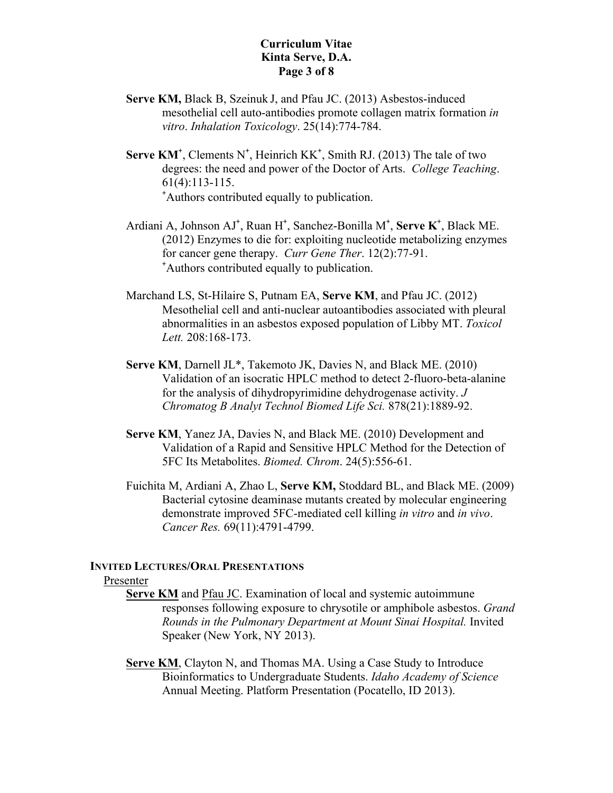## **Curriculum Vitae Kinta Serve, D.A. Page 3 of 8**

- **Serve KM,** Black B, Szeinuk J, and Pfau JC. (2013) Asbestos-induced mesothelial cell auto-antibodies promote collagen matrix formation *in vitro*. *Inhalation Toxicology*. 25(14):774-784.
- **Serve**  $KM^*$ , Clements  $N^*$ , Heinrich  $KK^*$ , Smith RJ. (2013) The tale of two degrees: the need and power of the Doctor of Arts. *College Teaching*. 61(4):113-115. + Authors contributed equally to publication.
- Ardiani A, Johnson AJ<sup>+</sup>, Ruan H<sup>+</sup>, Sanchez-Bonilla M<sup>+</sup>, Serve K<sup>+</sup>, Black ME. (2012) Enzymes to die for: exploiting nucleotide metabolizing enzymes for cancer gene therapy. *Curr Gene Ther*. 12(2):77-91. + Authors contributed equally to publication.
- Marchand LS, St-Hilaire S, Putnam EA, **Serve KM**, and Pfau JC. (2012) Mesothelial cell and anti-nuclear autoantibodies associated with pleural abnormalities in an asbestos exposed population of Libby MT. *Toxicol Lett.* 208:168-173.
- **Serve KM**, Darnell JL\*, Takemoto JK, Davies N, and Black ME. (2010) Validation of an isocratic HPLC method to detect 2-fluoro-beta-alanine for the analysis of dihydropyrimidine dehydrogenase activity. *J Chromatog B Analyt Technol Biomed Life Sci.* 878(21):1889-92.
- **Serve KM**, Yanez JA, Davies N, and Black ME. (2010) Development and Validation of a Rapid and Sensitive HPLC Method for the Detection of 5FC Its Metabolites. *Biomed. Chrom*. 24(5):556-61.
- Fuichita M, Ardiani A, Zhao L, **Serve KM,** Stoddard BL, and Black ME. (2009) Bacterial cytosine deaminase mutants created by molecular engineering demonstrate improved 5FC-mediated cell killing *in vitro* and *in vivo*. *Cancer Res.* 69(11):4791-4799.

#### **INVITED LECTURES/ORAL PRESENTATIONS**

#### Presenter

- **Serve KM** and Pfau JC. Examination of local and systemic autoimmune responses following exposure to chrysotile or amphibole asbestos. *Grand Rounds in the Pulmonary Department at Mount Sinai Hospital.* Invited Speaker (New York, NY 2013).
- **Serve KM, Clayton N, and Thomas MA. Using a Case Study to Introduce** Bioinformatics to Undergraduate Students. *Idaho Academy of Science* Annual Meeting. Platform Presentation (Pocatello, ID 2013).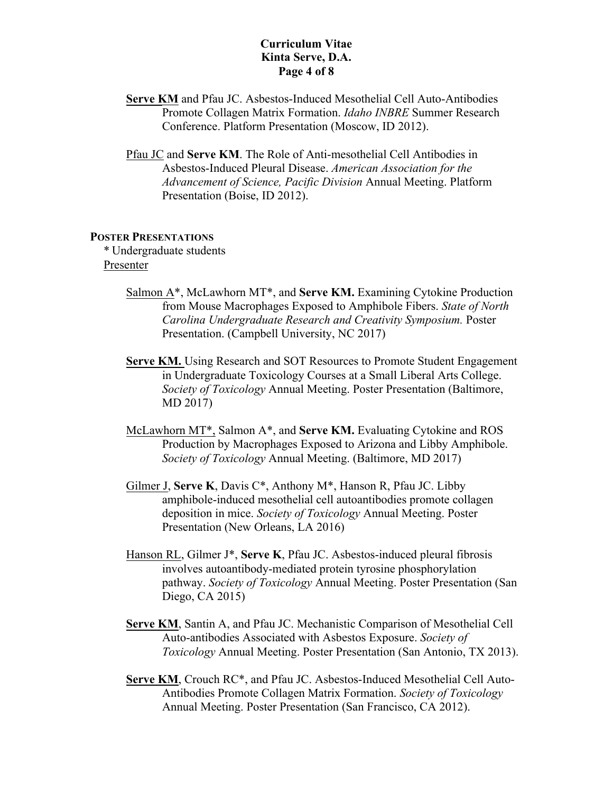## **Curriculum Vitae Kinta Serve, D.A. Page 4 of 8**

- **Serve KM** and Pfau JC. Asbestos-Induced Mesothelial Cell Auto-Antibodies Promote Collagen Matrix Formation. *Idaho INBRE* Summer Research Conference. Platform Presentation (Moscow, ID 2012).
- Pfau JC and **Serve KM**. The Role of Anti-mesothelial Cell Antibodies in Asbestos-Induced Pleural Disease. *American Association for the Advancement of Science, Pacific Division* Annual Meeting. Platform Presentation (Boise, ID 2012).

#### **POSTER PRESENTATIONS**

\* Undergraduate students Presenter

- Salmon A\*, McLawhorn MT\*, and **Serve KM.** Examining Cytokine Production from Mouse Macrophages Exposed to Amphibole Fibers. *State of North Carolina Undergraduate Research and Creativity Symposium.* Poster Presentation. (Campbell University, NC 2017)
- **Serve KM.** Using Research and SOT Resources to Promote Student Engagement in Undergraduate Toxicology Courses at a Small Liberal Arts College. *Society of Toxicology* Annual Meeting. Poster Presentation (Baltimore, MD 2017)
- McLawhorn MT\*, Salmon A\*, and **Serve KM.** Evaluating Cytokine and ROS Production by Macrophages Exposed to Arizona and Libby Amphibole. *Society of Toxicology* Annual Meeting. (Baltimore, MD 2017)
- Gilmer J, **Serve K**, Davis C\*, Anthony M\*, Hanson R, Pfau JC. Libby amphibole-induced mesothelial cell autoantibodies promote collagen deposition in mice. *Society of Toxicology* Annual Meeting. Poster Presentation (New Orleans, LA 2016)
- Hanson RL, Gilmer J\*, **Serve K**, Pfau JC. Asbestos-induced pleural fibrosis involves autoantibody-mediated protein tyrosine phosphorylation pathway. *Society of Toxicology* Annual Meeting. Poster Presentation (San Diego, CA 2015)
- **Serve KM**, Santin A, and Pfau JC. Mechanistic Comparison of Mesothelial Cell Auto-antibodies Associated with Asbestos Exposure. *Society of Toxicology* Annual Meeting. Poster Presentation (San Antonio, TX 2013).
- **Serve KM**, Crouch RC\*, and Pfau JC. Asbestos-Induced Mesothelial Cell Auto-Antibodies Promote Collagen Matrix Formation. *Society of Toxicology* Annual Meeting. Poster Presentation (San Francisco, CA 2012).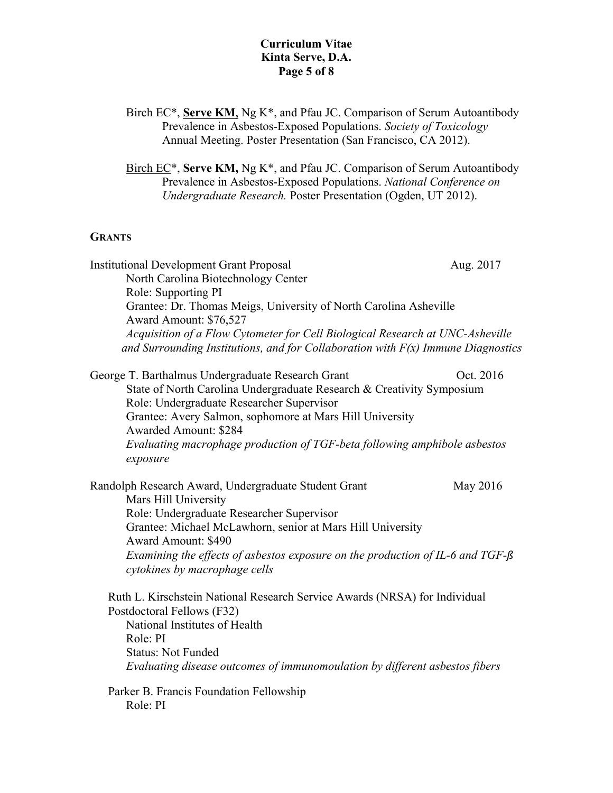## **Curriculum Vitae Kinta Serve, D.A. Page 5 of 8**

Birch EC\*, **Serve KM**, Ng K\*, and Pfau JC. Comparison of Serum Autoantibody Prevalence in Asbestos-Exposed Populations. *Society of Toxicology* Annual Meeting. Poster Presentation (San Francisco, CA 2012).

Birch EC\*, **Serve KM,** Ng K\*, and Pfau JC. Comparison of Serum Autoantibody Prevalence in Asbestos-Exposed Populations. *National Conference on Undergraduate Research.* Poster Presentation (Ogden, UT 2012).

## **GRANTS**

| <b>Institutional Development Grant Proposal</b><br>North Carolina Biotechnology Center                             | Aug. 2017 |
|--------------------------------------------------------------------------------------------------------------------|-----------|
| Role: Supporting PI                                                                                                |           |
| Grantee: Dr. Thomas Meigs, University of North Carolina Asheville                                                  |           |
| Award Amount: \$76,527                                                                                             |           |
| Acquisition of a Flow Cytometer for Cell Biological Research at UNC-Asheville                                      |           |
| and Surrounding Institutions, and for Collaboration with $F(x)$ Immune Diagnostics                                 |           |
| George T. Barthalmus Undergraduate Research Grant                                                                  | Oct. 2016 |
| State of North Carolina Undergraduate Research & Creativity Symposium<br>Role: Undergraduate Researcher Supervisor |           |
| Grantee: Avery Salmon, sophomore at Mars Hill University                                                           |           |
| <b>Awarded Amount: \$284</b>                                                                                       |           |
| Evaluating macrophage production of TGF-beta following amphibole asbestos                                          |           |
| exposure                                                                                                           |           |
| Randolph Research Award, Undergraduate Student Grant                                                               | May 2016  |
| Mars Hill University                                                                                               |           |
| Role: Undergraduate Researcher Supervisor                                                                          |           |
| Grantee: Michael McLawhorn, senior at Mars Hill University                                                         |           |
| <b>Award Amount: \$490</b>                                                                                         |           |
| Examining the effects of asbestos exposure on the production of IL-6 and TGF-ß<br>cytokines by macrophage cells    |           |
|                                                                                                                    |           |
| Ruth L. Kirschstein National Research Service Awards (NRSA) for Individual                                         |           |
| Postdoctoral Fellows (F32)<br>National Institutes of Health                                                        |           |
| Role: PI                                                                                                           |           |
| <b>Status: Not Funded</b>                                                                                          |           |
| Evaluating disease outcomes of immunomoulation by different asbestos fibers                                        |           |
| Parker B. Francis Foundation Fellowship                                                                            |           |
| Role: PI                                                                                                           |           |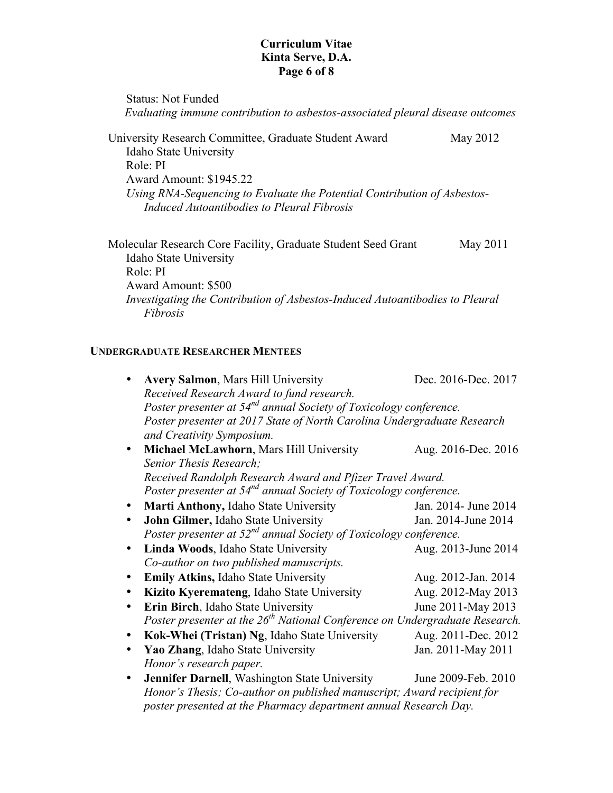## **Curriculum Vitae Kinta Serve, D.A. Page 6 of 8**

Status: Not Funded  *Evaluating immune contribution to asbestos-associated pleural disease outcomes* University Research Committee, Graduate Student Award May 2012 Idaho State University Role: PI Award Amount: \$1945.22 *Using RNA-Sequencing to Evaluate the Potential Contribution of Asbestos-Induced Autoantibodies to Pleural Fibrosis* Molecular Research Core Facility, Graduate Student Seed Grant May 2011 Idaho State University Role: PI Award Amount: \$500 *Investigating the Contribution of Asbestos-Induced Autoantibodies to Pleural* 

## **UNDERGRADUATE RESEARCHER MENTEES**

*Fibrosis*

|           | <b>Avery Salmon, Mars Hill University</b>                                               | Dec. 2016-Dec. 2017  |  |
|-----------|-----------------------------------------------------------------------------------------|----------------------|--|
|           | Received Research Award to fund research.                                               |                      |  |
|           | Poster presenter at 54 <sup>nd</sup> annual Society of Toxicology conference.           |                      |  |
|           | Poster presenter at 2017 State of North Carolina Undergraduate Research                 |                      |  |
|           | and Creativity Symposium.                                                               |                      |  |
|           | Michael McLawhorn, Mars Hill University                                                 | Aug. 2016-Dec. 2016  |  |
|           | Senior Thesis Research;                                                                 |                      |  |
|           | Received Randolph Research Award and Pfizer Travel Award.                               |                      |  |
|           | Poster presenter at 54 <sup>nd</sup> annual Society of Toxicology conference.           |                      |  |
|           | Marti Anthony, Idaho State University                                                   | Jan. 2014- June 2014 |  |
|           | John Gilmer, Idaho State University                                                     | Jan. 2014-June 2014  |  |
|           | Poster presenter at $52^{nd}$ annual Society of Toxicology conference.                  |                      |  |
|           | Linda Woods, Idaho State University                                                     | Aug. 2013-June 2014  |  |
|           | Co-author on two published manuscripts.                                                 |                      |  |
|           | <b>Emily Atkins, Idaho State University</b>                                             | Aug. 2012-Jan. 2014  |  |
|           | Kizito Kyeremateng, Idaho State University                                              | Aug. 2012-May 2013   |  |
|           | Erin Birch, Idaho State University                                                      | June 2011-May 2013   |  |
|           | Poster presenter at the 26 <sup>th</sup> National Conference on Undergraduate Research. |                      |  |
|           | Kok-Whei (Tristan) Ng, Idaho State University                                           | Aug. 2011-Dec. 2012  |  |
|           | Yao Zhang, Idaho State University                                                       | Jan. 2011-May 2011   |  |
|           | Honor's research paper.                                                                 |                      |  |
| $\bullet$ | Jennifer Darnell, Washington State University                                           | June 2009-Feb. 2010  |  |
|           | Honor's Thesis; Co-author on published manuscript; Award recipient for                  |                      |  |
|           | poster presented at the Pharmacy department annual Research Day.                        |                      |  |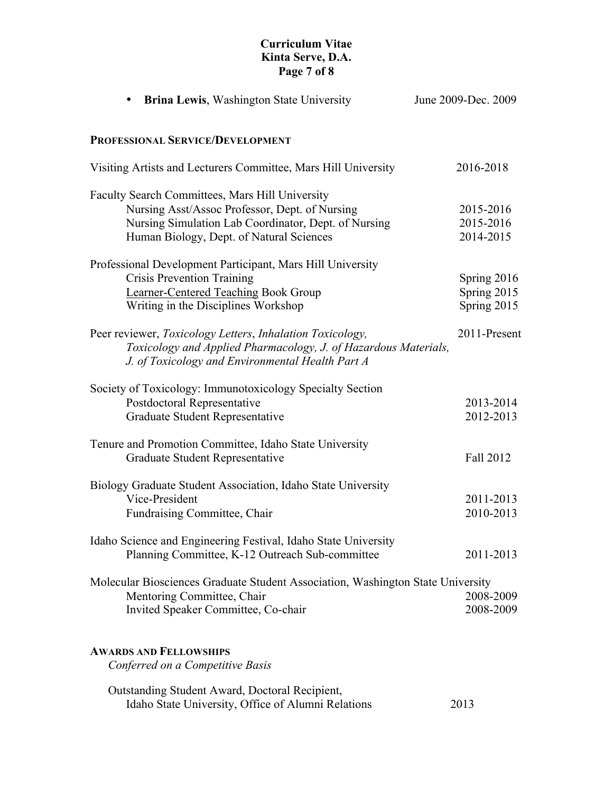## **Curriculum Vitae Kinta Serve, D.A. Page 7 of 8**

| <b>Brina Lewis, Washington State University</b>                                                                                                                                                              | June 2009-Dec. 2009                         |
|--------------------------------------------------------------------------------------------------------------------------------------------------------------------------------------------------------------|---------------------------------------------|
| PROFESSIONAL SERVICE/DEVELOPMENT                                                                                                                                                                             |                                             |
| Visiting Artists and Lecturers Committee, Mars Hill University                                                                                                                                               | 2016-2018                                   |
| <b>Faculty Search Committees, Mars Hill University</b><br>Nursing Asst/Assoc Professor, Dept. of Nursing<br>Nursing Simulation Lab Coordinator, Dept. of Nursing<br>Human Biology, Dept. of Natural Sciences | 2015-2016<br>2015-2016<br>2014-2015         |
| Professional Development Participant, Mars Hill University<br><b>Crisis Prevention Training</b><br>Learner-Centered Teaching Book Group<br>Writing in the Disciplines Workshop                               | Spring 2016<br>Spring 2015<br>Spring $2015$ |
| Peer reviewer, Toxicology Letters, Inhalation Toxicology,<br>Toxicology and Applied Pharmacology, J. of Hazardous Materials,<br>J. of Toxicology and Environmental Health Part A                             | 2011-Present                                |
| Society of Toxicology: Immunotoxicology Specialty Section<br>Postdoctoral Representative<br>Graduate Student Representative                                                                                  | 2013-2014<br>2012-2013                      |
| Tenure and Promotion Committee, Idaho State University<br>Graduate Student Representative                                                                                                                    | Fall 2012                                   |
| Biology Graduate Student Association, Idaho State University<br>Vice-President<br>Fundraising Committee, Chair                                                                                               | 2011-2013<br>2010-2013                      |
| Idaho Science and Engineering Festival, Idaho State University<br>Planning Committee, K-12 Outreach Sub-committee                                                                                            | 2011-2013                                   |
| Molecular Biosciences Graduate Student Association, Washington State University<br>Mentoring Committee, Chair<br>Invited Speaker Committee, Co-chair                                                         | 2008-2009<br>2008-2009                      |
| <b>AWARDS AND FELLOWSHIPS</b><br>Conferred on a Competitive Basis                                                                                                                                            |                                             |
| Outstanding Student Award, Doctoral Recipient,<br>Idaho State University, Office of Alumni Relations                                                                                                         | 2013                                        |